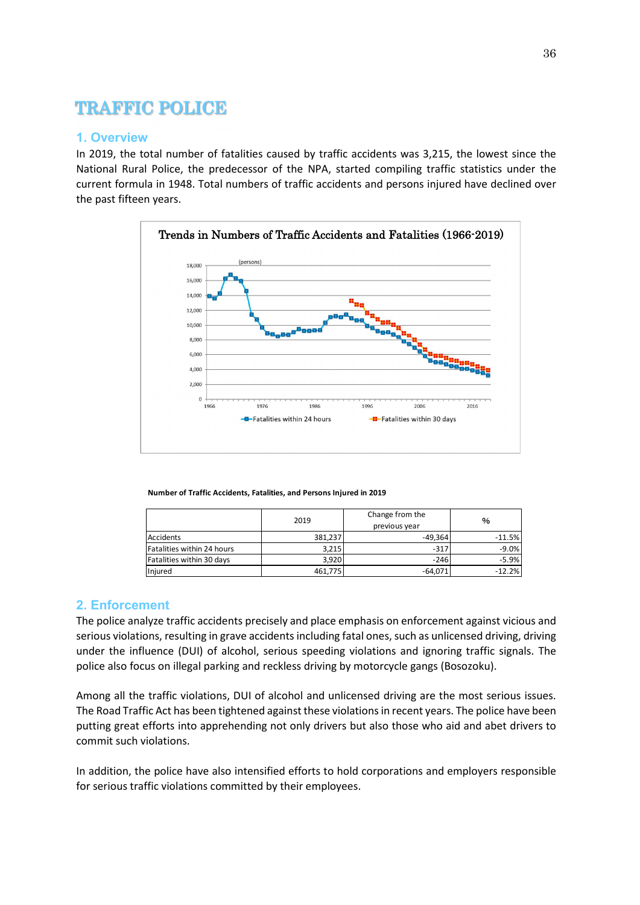# TRAFFIC POLICE

## **1. Overview**

In 2019, the total number of fatalities caused by traffic accidents was 3,215, the lowest since the National Rural Police, the predecessor of the NPA, started compiling traffic statistics under the current formula in 1948. Total numbers of traffic accidents and persons injured have declined over the past fifteen years.



**Number of Traffic Accidents, Fatalities, and Persons Injured in 2019**

|                            | 2019    | Change from the<br>previous year | %        |
|----------------------------|---------|----------------------------------|----------|
| Accidents                  | 381,237 | $-49,364$                        | $-11.5%$ |
| Fatalities within 24 hours | 3.215   | $-317$                           | $-9.0%$  |
| Fatalities within 30 days  | 3.920   | $-246$                           | $-5.9%$  |
| Injured                    | 461,775 | $-64,071$                        | $-12.2%$ |

## **2. Enforcement**

The police analyze traffic accidents precisely and place emphasis on enforcement against vicious and serious violations, resulting in grave accidents including fatal ones, such as unlicensed driving, driving under the influence (DUI) of alcohol, serious speeding violations and ignoring traffic signals. The police also focus on illegal parking and reckless driving by motorcycle gangs (Bosozoku).

Among all the traffic violations, DUI of alcohol and unlicensed driving are the most serious issues. The Road Traffic Act has been tightened against these violations in recent years. The police have been putting great efforts into apprehending not only drivers but also those who aid and abet drivers to commit such violations.

In addition, the police have also intensified efforts to hold corporations and employers responsible for serious traffic violations committed by their employees.